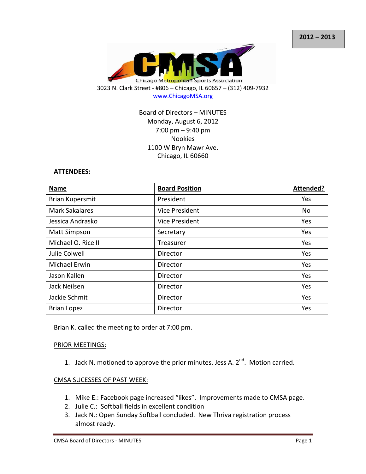

# Board of Directors – MINUTES Monday, August 6, 2012 7:00 pm – 9:40 pm Nookies 1100 W Bryn Mawr Ave. Chicago, IL 60660

#### **ATTENDEES:**

| <b>Name</b>            | <b>Board Position</b> | Attended?  |
|------------------------|-----------------------|------------|
| <b>Brian Kupersmit</b> | President             | Yes        |
| <b>Mark Sakalares</b>  | <b>Vice President</b> | No         |
| Jessica Andrasko       | <b>Vice President</b> | Yes        |
| <b>Matt Simpson</b>    | Secretary             | Yes        |
| Michael O. Rice II     | Treasurer             | Yes        |
| Julie Colwell          | Director              | Yes        |
| <b>Michael Erwin</b>   | Director              | Yes        |
| Jason Kallen           | Director              | <b>Yes</b> |
| Jack Neilsen           | Director              | Yes        |
| Jackie Schmit          | Director              | Yes        |
| <b>Brian Lopez</b>     | Director              | Yes        |

Brian K. called the meeting to order at 7:00 pm.

#### PRIOR MEETINGS:

1. Jack N. motioned to approve the prior minutes. Jess A.  $2<sup>nd</sup>$ . Motion carried.

#### CMSA SUCESSES OF PAST WEEK:

- 1. Mike E.: Facebook page increased "likes". Improvements made to CMSA page.
- 2. Julie C.: Softball fields in excellent condition
- 3. Jack N.: Open Sunday Softball concluded. New Thriva registration process almost ready.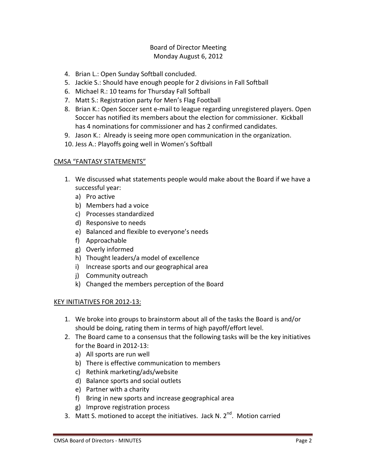# Board of Director Meeting Monday August 6, 2012

- 4. Brian L.: Open Sunday Softball concluded.
- 5. Jackie S.: Should have enough people for 2 divisions in Fall Softball
- 6. Michael R.: 10 teams for Thursday Fall Softball
- 7. Matt S.: Registration party for Men's Flag Football
- 8. Brian K.: Open Soccer sent e-mail to league regarding unregistered players. Open Soccer has notified its members about the election for commissioner. Kickball has 4 nominations for commissioner and has 2 confirmed candidates.
- 9. Jason K.: Already is seeing more open communication in the organization.
- 10. Jess A.: Playoffs going well in Women's Softball

### CMSA "FANTASY STATEMENTS"

- 1. We discussed what statements people would make about the Board if we have a successful year:
	- a) Pro active
	- b) Members had a voice
	- c) Processes standardized
	- d) Responsive to needs
	- e) Balanced and flexible to everyone's needs
	- f) Approachable
	- g) Overly informed
	- h) Thought leaders/a model of excellence
	- i) Increase sports and our geographical area
	- j) Community outreach
	- k) Changed the members perception of the Board

### KEY INITIATIVES FOR 2012-13:

- 1. We broke into groups to brainstorm about all of the tasks the Board is and/or should be doing, rating them in terms of high payoff/effort level.
- 2. The Board came to a consensus that the following tasks will be the key initiatives for the Board in 2012-13:
	- a) All sports are run well
	- b) There is effective communication to members
	- c) Rethink marketing/ads/website
	- d) Balance sports and social outlets
	- e) Partner with a charity
	- f) Bring in new sports and increase geographical area
	- g) Improve registration process
- 3. Matt S. motioned to accept the initiatives. Jack N. 2<sup>nd</sup>. Motion carried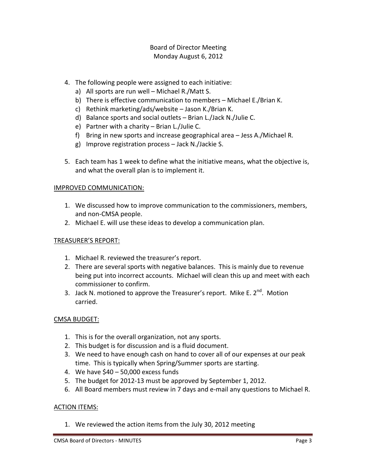# Board of Director Meeting Monday August 6, 2012

- 4. The following people were assigned to each initiative:
	- a) All sports are run well Michael R./Matt S.
	- b) There is effective communication to members Michael E./Brian K.
	- c) Rethink marketing/ads/website Jason K./Brian K.
	- d) Balance sports and social outlets Brian L./Jack N./Julie C.
	- e) Partner with a charity Brian L./Julie C.
	- f) Bring in new sports and increase geographical area Jess A./Michael R.
	- g) Improve registration process Jack N./Jackie S.
- 5. Each team has 1 week to define what the initiative means, what the objective is, and what the overall plan is to implement it.

### IMPROVED COMMUNICATION:

- 1. We discussed how to improve communication to the commissioners, members, and non-CMSA people.
- 2. Michael E. will use these ideas to develop a communication plan.

### TREASURER'S REPORT:

- 1. Michael R. reviewed the treasurer's report.
- 2. There are several sports with negative balances. This is mainly due to revenue being put into incorrect accounts. Michael will clean this up and meet with each commissioner to confirm.
- 3. Jack N. motioned to approve the Treasurer's report. Mike E.  $2^{nd}$ . Motion carried.

### CMSA BUDGET:

- 1. This is for the overall organization, not any sports.
- 2. This budget is for discussion and is a fluid document.
- 3. We need to have enough cash on hand to cover all of our expenses at our peak time. This is typically when Spring/Summer sports are starting.
- 4. We have \$40 50,000 excess funds
- 5. The budget for 2012-13 must be approved by September 1, 2012.
- 6. All Board members must review in 7 days and e-mail any questions to Michael R.

#### ACTION ITEMS:

1. We reviewed the action items from the July 30, 2012 meeting